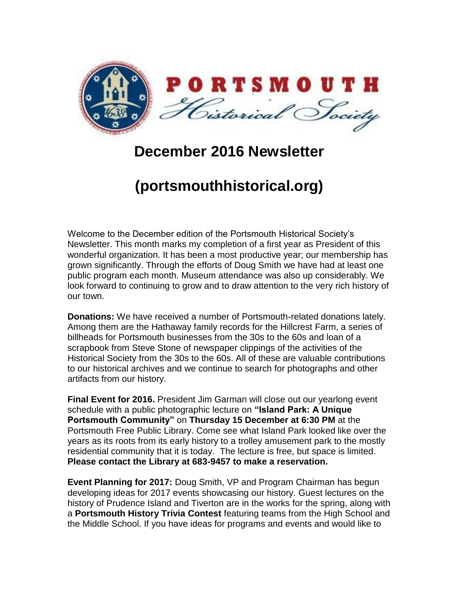

## **December 2016 Newsletter**

## **(portsmouthhistorical.org)**

Welcome to the December edition of the Portsmouth Historical Society's Newsletter. This month marks my completion of a first year as President of this wonderful organization. It has been a most productive year; our membership has grown significantly. Through the efforts of Doug Smith we have had at least one public program each month. Museum attendance was also up considerably. We look forward to continuing to grow and to draw attention to the very rich history of our town.

**Donations:** We have received a number of Portsmouth-related donations lately. Among them are the Hathaway family records for the Hillcrest Farm, a series of billheads for Portsmouth businesses from the 30s to the 60s and loan of a scrapbook from Steve Stone of newspaper clippings of the activities of the Historical Society from the 30s to the 60s. All of these are valuable contributions to our historical archives and we continue to search for photographs and other artifacts from our history.

**Final Event for 2016.** President Jim Garman will close out our yearlong event schedule with a public photographic lecture on **"Island Park: A Unique Portsmouth Community"** on **Thursday 15 December at 6:30 PM** at the Portsmouth Free Public Library. Come see what Island Park looked like over the years as its roots from its early history to a trolley amusement park to the mostly residential community that it is today. The lecture is free, but space is limited. **Please contact the Library at 683-9457 to make a reservation.** 

**Event Planning for 2017:** Doug Smith, VP and Program Chairman has begun developing ideas for 2017 events showcasing our history. Guest lectures on the history of Prudence Island and Tiverton are in the works for the spring, along with a **Portsmouth History Trivia Contest** featuring teams from the High School and the Middle School. If you have ideas for programs and events and would like to